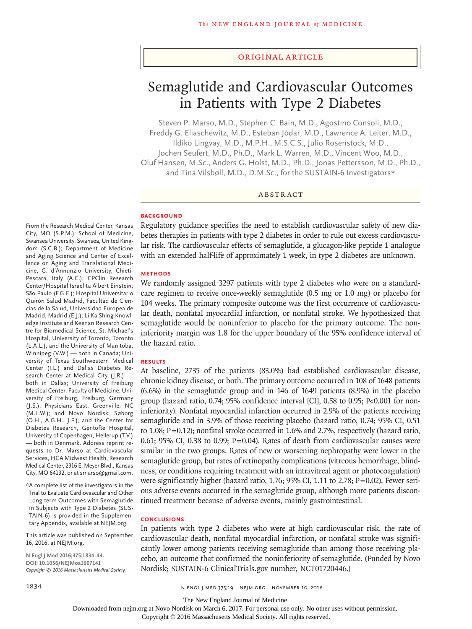#### Original Article

# Semaglutide and Cardiovascular Outcomes in Patients with Type 2 Diabetes

Steven P. Marso, M.D., Stephen C. Bain, M.D., Agostino Consoli, M.D., Freddy G. Eliaschewitz, M.D., Esteban Jódar, M.D., Lawrence A. Leiter, M.D., Ildiko Lingvay, M.D., M.P.H., M.S.C.S., Julio Rosenstock, M.D., Jochen Seufert, M.D., Ph.D., Mark L. Warren, M.D., Vincent Woo, M.D., Oluf Hansen, M.Sc., Anders G. Holst, M.D., Ph.D., Jonas Pettersson, M.D., Ph.D., and Tina Vilsbøll, M.D., D.M.Sc., for the SUSTAIN-6 Investigators\*

## ABSTRACT

#### **BACKGROUND**

Regulatory guidance specifies the need to establish cardiovascular safety of new diabetes therapies in patients with type 2 diabetes in order to rule out excess cardiovascular risk. The cardiovascular effects of semaglutide, a glucagon-like peptide 1 analogue with an extended half-life of approximately 1 week, in type 2 diabetes are unknown.

#### **METHODS**

We randomly assigned 3297 patients with type 2 diabetes who were on a standardcare regimen to receive once-weekly semaglutide (0.5 mg or 1.0 mg) or placebo for 104 weeks. The primary composite outcome was the first occurrence of cardiovascular death, nonfatal myocardial infarction, or nonfatal stroke. We hypothesized that semaglutide would be noninferior to placebo for the primary outcome. The noninferiority margin was 1.8 for the upper boundary of the 95% confidence interval of the hazard ratio.

#### **RESULTS**

At baseline, 2735 of the patients (83.0%) had established cardiovascular disease, chronic kidney disease, or both. The primary outcome occurred in 108 of 1648 patients (6.6%) in the semaglutide group and in 146 of 1649 patients (8.9%) in the placebo group (hazard ratio, 0.74; 95% confidence interval [CI], 0.58 to 0.95; P<0.001 for noninferiority). Nonfatal myocardial infarction occurred in 2.9% of the patients receiving semaglutide and in 3.9% of those receiving placebo (hazard ratio, 0.74; 95% CI, 0.51 to 1.08; P=0.12); nonfatal stroke occurred in 1.6% and 2.7%, respectively (hazard ratio, 0.61; 95% CI, 0.38 to 0.99;  $P = 0.04$ ). Rates of death from cardiovascular causes were similar in the two groups. Rates of new or worsening nephropathy were lower in the semaglutide group, but rates of retinopathy complications (vitreous hemorrhage, blindness, or conditions requiring treatment with an intravitreal agent or photocoagulation) were significantly higher (hazard ratio, 1.76; 95% CI, 1.11 to 2.78; P=0.02). Fewer serious adverse events occurred in the semaglutide group, although more patients discontinued treatment because of adverse events, mainly gastrointestinal.

#### **CONCLUSIONS**

In patients with type 2 diabetes who were at high cardiovascular risk, the rate of cardiovascular death, nonfatal myocardial infarction, or nonfatal stroke was significantly lower among patients receiving semaglutide than among those receiving placebo, an outcome that confirmed the noninferiority of semaglutide. (Funded by Novo Nordisk; SUSTAIN-6 ClinicalTrials.gov number, NCT01720446.)

From the Research Medical Center, Kansas City, MO (S.P.M.); School of Medicine, Swansea University, Swansea, United Kingdom (S.C.B.); Department of Medicine and Aging Science and Center of Excellence on Aging and Translational Medicine, G. d'Annunzio University, Chieti-Pescara, Italy (A.C.); CPClin Research Center/Hospital Israelita Albert Einstein, São Paulo (F.G.E.); Hospital Universitario Quirón Salud Madrid, Facultad de Ciencias de la Salud, Universidad Europea de Madrid, Madrid (E.J.); Li Ka Shing Knowledge Institute and Keenan Research Centre for Biomedical Science, St. Michael's Hospital, University of Toronto, Toronto (L.A.L.), and the University of Manitoba, Winnipeg (V.W.) — both in Canada; University of Texas Southwestern Medical Center (I.L.) and Dallas Diabetes Research Center at Medical City (J.R.) both in Dallas; University of Freiburg Medical Center, Faculty of Medicine, University of Freiburg, Freiburg, Germany (J.S.); Physicians East, Greenville, NC (M.L.W.); and Novo Nordisk, Søborg (O.H., A.G.H., J.P.), and the Center for Diabetes Research, Gentofte Hospital, University of Copenhagen, Hellerup (T.V.) — both in Denmark. Address reprint requests to Dr. Marso at Cardiovascular Services, HCA Midwest Health, Research Medical Center, 2316 E. Meyer Blvd., Kansas City, MO 64132, or at smarso@gmail.com.

\*A complete list of the investigators in the Trial to Evaluate Cardiovascular and Other Long-term Outcomes with Semaglutide in Subjects with Type 2 Diabetes (SUS-TAIN-6) is provided in the Supplementary Appendix, available at NEJM.org.

This article was published on September 16, 2016, at NEJM.org.

**N Engl J Med 2016;375:1834-44. DOI: 10.1056/NEJMoa1607141** *Copyright © 2016 Massachusetts Medical Society.*

The New England Journal of Medicine

Downloaded from nejm.org at Novo Nordisk on March 6, 2017. For personal use only. No other uses without permission.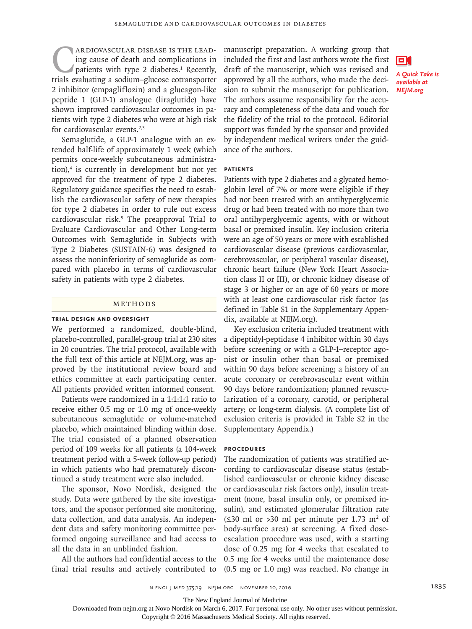**CARDIOVASCULAR DISEASE IS THE LEAD-**<br>ing cause of death and complications in<br>patients with type 2 diabetes.<sup>1</sup> Recently,<br>trials evaluating a sodium-glucose cotransporter ing cause of death and complications in patients with type 2 diabetes.<sup>1</sup> Recently, trials evaluating a sodium–glucose cotransporter 2 inhibitor (empagliflozin) and a glucagon-like peptide 1 (GLP-1) analogue (liraglutide) have shown improved cardiovascular outcomes in patients with type 2 diabetes who were at high risk for cardiovascular events.<sup>2,3</sup>

Semaglutide, a GLP-1 analogue with an extended half-life of approximately 1 week (which permits once-weekly subcutaneous administration),<sup>4</sup> is currently in development but not yet approved for the treatment of type 2 diabetes. Regulatory guidance specifies the need to establish the cardiovascular safety of new therapies for type 2 diabetes in order to rule out excess cardiovascular risk.<sup>5</sup> The preapproval Trial to Evaluate Cardiovascular and Other Long-term Outcomes with Semaglutide in Subjects with Type 2 Diabetes (SUSTAIN-6) was designed to assess the noninferiority of semaglutide as compared with placebo in terms of cardiovascular safety in patients with type 2 diabetes.

## Methods

#### **Trial Design and Oversight**

We performed a randomized, double-blind, placebo-controlled, parallel-group trial at 230 sites in 20 countries. The trial protocol, available with the full text of this article at NEJM.org, was approved by the institutional review board and ethics committee at each participating center. All patients provided written informed consent.

Patients were randomized in a 1:1:1:1 ratio to receive either 0.5 mg or 1.0 mg of once-weekly subcutaneous semaglutide or volume-matched placebo, which maintained blinding within dose. The trial consisted of a planned observation period of 109 weeks for all patients (a 104-week treatment period with a 5-week follow-up period) in which patients who had prematurely discontinued a study treatment were also included.

The sponsor, Novo Nordisk, designed the study. Data were gathered by the site investigators, and the sponsor performed site monitoring, data collection, and data analysis. An independent data and safety monitoring committee performed ongoing surveillance and had access to all the data in an unblinded fashion.

All the authors had confidential access to the final trial results and actively contributed to

manuscript preparation. A working group that included the first and last authors wrote the first draft of the manuscript, which was revised and approved by all the authors, who made the decision to submit the manuscript for publication. The authors assume responsibility for the accuracy and completeness of the data and vouch for the fidelity of the trial to the protocol. Editorial support was funded by the sponsor and provided by independent medical writers under the guidance of the authors.



#### **Patients**

Patients with type 2 diabetes and a glycated hemoglobin level of 7% or more were eligible if they had not been treated with an antihyperglycemic drug or had been treated with no more than two oral antihyperglycemic agents, with or without basal or premixed insulin. Key inclusion criteria were an age of 50 years or more with established cardiovascular disease (previous cardiovascular, cerebrovascular, or peripheral vascular disease), chronic heart failure (New York Heart Association class II or III), or chronic kidney disease of stage 3 or higher or an age of 60 years or more with at least one cardiovascular risk factor (as defined in Table S1 in the Supplementary Appendix, available at NEJM.org).

Key exclusion criteria included treatment with a dipeptidyl-peptidase 4 inhibitor within 30 days before screening or with a GLP-1–receptor agonist or insulin other than basal or premixed within 90 days before screening; a history of an acute coronary or cerebrovascular event within 90 days before randomization; planned revascularization of a coronary, carotid, or peripheral artery; or long-term dialysis. (A complete list of exclusion criteria is provided in Table S2 in the Supplementary Appendix.)

### **Procedures**

The randomization of patients was stratified according to cardiovascular disease status (established cardiovascular or chronic kidney disease or cardiovascular risk factors only), insulin treatment (none, basal insulin only, or premixed insulin), and estimated glomerular filtration rate (≤30 ml or >30 ml per minute per 1.73 m<sup>2</sup> of body-surface area) at screening. A fixed doseescalation procedure was used, with a starting dose of 0.25 mg for 4 weeks that escalated to 0.5 mg for 4 weeks until the maintenance dose (0.5 mg or 1.0 mg) was reached. No change in

n engl j med 375;19 nejm.org November 10, 2016 1835

The New England Journal of Medicine

Downloaded from nejm.org at Novo Nordisk on March 6, 2017. For personal use only. No other uses without permission.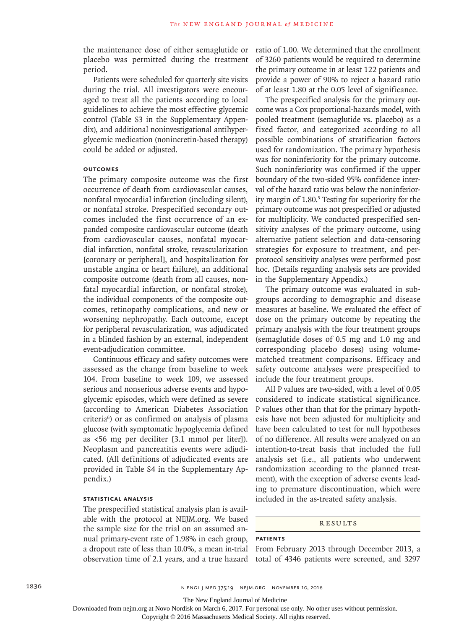the maintenance dose of either semaglutide or placebo was permitted during the treatment period.

Patients were scheduled for quarterly site visits during the trial. All investigators were encouraged to treat all the patients according to local guidelines to achieve the most effective glycemic control (Table S3 in the Supplementary Appendix), and additional noninvestigational antihyperglycemic medication (nonincretin-based therapy) could be added or adjusted.

#### **Outcomes**

The primary composite outcome was the first occurrence of death from cardiovascular causes, nonfatal myocardial infarction (including silent), or nonfatal stroke. Prespecified secondary outcomes included the first occurrence of an expanded composite cardiovascular outcome (death from cardiovascular causes, nonfatal myocardial infarction, nonfatal stroke, revascularization [coronary or peripheral], and hospitalization for unstable angina or heart failure), an additional composite outcome (death from all causes, nonfatal myocardial infarction, or nonfatal stroke), the individual components of the composite outcomes, retinopathy complications, and new or worsening nephropathy. Each outcome, except for peripheral revascularization, was adjudicated in a blinded fashion by an external, independent event-adjudication committee.

Continuous efficacy and safety outcomes were assessed as the change from baseline to week 104. From baseline to week 109, we assessed serious and nonserious adverse events and hypoglycemic episodes, which were defined as severe (according to American Diabetes Association criteria6 ) or as confirmed on analysis of plasma glucose (with symptomatic hypoglycemia defined as <56 mg per deciliter [3.1 mmol per liter]). Neoplasm and pancreatitis events were adjudicated. (All definitions of adjudicated events are provided in Table S4 in the Supplementary Appendix.)

## **Statistical Analysis**

The prespecified statistical analysis plan is available with the protocol at NEJM.org. We based the sample size for the trial on an assumed annual primary-event rate of 1.98% in each group, a dropout rate of less than 10.0%, a mean in-trial observation time of 2.1 years, and a true hazard ratio of 1.00. We determined that the enrollment of 3260 patients would be required to determine the primary outcome in at least 122 patients and provide a power of 90% to reject a hazard ratio of at least 1.80 at the 0.05 level of significance.

The prespecified analysis for the primary outcome was a Cox proportional-hazards model, with pooled treatment (semaglutide vs. placebo) as a fixed factor, and categorized according to all possible combinations of stratification factors used for randomization. The primary hypothesis was for noninferiority for the primary outcome. Such noninferiority was confirmed if the upper boundary of the two-sided 95% confidence interval of the hazard ratio was below the noninferiority margin of 1.80.<sup>5</sup> Testing for superiority for the primary outcome was not prespecified or adjusted for multiplicity. We conducted prespecified sensitivity analyses of the primary outcome, using alternative patient selection and data-censoring strategies for exposure to treatment, and perprotocol sensitivity analyses were performed post hoc. (Details regarding analysis sets are provided in the Supplementary Appendix.)

The primary outcome was evaluated in subgroups according to demographic and disease measures at baseline. We evaluated the effect of dose on the primary outcome by repeating the primary analysis with the four treatment groups (semaglutide doses of 0.5 mg and 1.0 mg and corresponding placebo doses) using volumematched treatment comparisons. Efficacy and safety outcome analyses were prespecified to include the four treatment groups.

All P values are two-sided, with a level of 0.05 considered to indicate statistical significance. P values other than that for the primary hypothesis have not been adjusted for multiplicity and have been calculated to test for null hypotheses of no difference. All results were analyzed on an intention-to-treat basis that included the full analysis set (i.e., all patients who underwent randomization according to the planned treatment), with the exception of adverse events leading to premature discontinuation, which were included in the as-treated safety analysis.

#### Results

#### **Patients**

From February 2013 through December 2013, a total of 4346 patients were screened, and 3297

The New England Journal of Medicine

Downloaded from nejm.org at Novo Nordisk on March 6, 2017. For personal use only. No other uses without permission.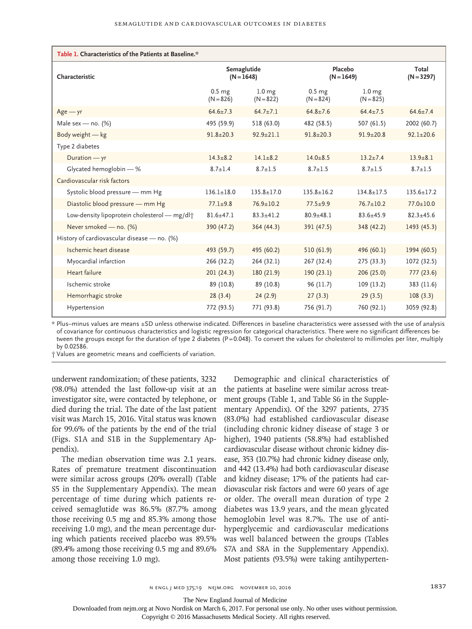| Table 1. Characteristics of the Patients at Baseline.*   |                                  |                                  |                                  |                                  |                       |  |
|----------------------------------------------------------|----------------------------------|----------------------------------|----------------------------------|----------------------------------|-----------------------|--|
| Characteristic                                           | Semaglutide<br>$(N = 1648)$      |                                  | Placebo<br>$(N = 1649)$          |                                  | Total<br>$(N = 3297)$ |  |
|                                                          | 0.5 <sub>mg</sub><br>$(N = 826)$ | 1.0 <sub>mg</sub><br>$(N = 822)$ | 0.5 <sub>mg</sub><br>$(N = 824)$ | 1.0 <sub>mg</sub><br>$(N = 825)$ |                       |  |
| $Age - yr$                                               | $64.6 \pm 7.3$                   | $64.7 \pm 7.1$                   | $64.8 \pm 7.6$                   | $64.4 \pm 7.5$                   | $64.6 \pm 7.4$        |  |
| Male sex - no. $(%)$                                     | 495 (59.9)                       | 518 (63.0)                       | 482 (58.5)                       | 507 (61.5)                       | 2002 (60.7)           |  |
| Body weight - kg                                         | $91.8 \pm 20.3$                  | $92.9 \pm 21.1$                  | $91.8 \pm 20.3$                  | $91.9 \pm 20.8$                  | $92.1 \pm 20.6$       |  |
| Type 2 diabetes                                          |                                  |                                  |                                  |                                  |                       |  |
| Duration - yr                                            | $14.3 + 8.2$                     | $14.1 + 8.2$                     | $14.0 \pm 8.5$                   | $13.2 + 7.4$                     | $13.9 + 8.1$          |  |
| Glycated hemoglobin - %                                  | $8.7 \pm 1.4$                    | $8.7 \pm 1.5$                    | $8.7 \pm 1.5$                    | $8.7 \pm 1.5$                    | $8.7 \pm 1.5$         |  |
| Cardiovascular risk factors                              |                                  |                                  |                                  |                                  |                       |  |
| Systolic blood pressure - mm Hg                          | $136.1 \pm 18.0$                 | $135.8 \pm 17.0$                 | $135.8 + 16.2$                   | $134.8 + 17.5$                   | $135.6 + 17.2$        |  |
| Diastolic blood pressure - mm Hg                         | $77.1 + 9.8$                     | $76.9 \pm 10.2$                  | $77.5 \pm 9.9$                   | $76.7 \pm 10.2$                  | $77.0 \pm 10.0$       |  |
| Low-density lipoprotein cholesterol - mg/dl <sup>+</sup> | $81.6 + 47.1$                    | $83.3 \pm 41.2$                  | $80.9 + 48.1$                    | $83.6 + 45.9$                    | $82.3 \pm 45.6$       |  |
| Never smoked - no. (%)                                   | 390 (47.2)                       | 364 (44.3)                       | 391 (47.5)                       | 348 (42.2)                       | 1493 (45.3)           |  |
| History of cardiovascular disease - no. (%)              |                                  |                                  |                                  |                                  |                       |  |
| Ischemic heart disease                                   | 493 (59.7)                       | 495 (60.2)                       | 510(61.9)                        | 496 (60.1)                       | 1994 (60.5)           |  |
| Myocardial infarction                                    | 266 (32.2)                       | 264 (32.1)                       | 267 (32.4)                       | 275 (33.3)                       | 1072 (32.5)           |  |
| Heart failure                                            | 201(24.3)                        | 180 (21.9)                       | 190(23.1)                        | 206(25.0)                        | 777(23.6)             |  |
| Ischemic stroke                                          | 89 (10.8)                        | 89 (10.8)                        | 96 (11.7)                        | 109 (13.2)                       | 383 (11.6)            |  |
| Hemorrhagic stroke                                       | 28(3.4)                          | 24(2.9)                          | 27(3.3)                          | 29(3.5)                          | 108(3.3)              |  |
| Hypertension                                             | 772 (93.5)                       | 771 (93.8)                       | 756 (91.7)                       | 760 (92.1)                       | 3059 (92.8)           |  |

\* Plus–minus values are means ±SD unless otherwise indicated. Differences in baseline characteristics were assessed with the use of analysis of covariance for continuous characteristics and logistic regression for categorical characteristics. There were no significant differences between the groups except for the duration of type 2 diabetes (P=0.048). To convert the values for cholesterol to millimoles per liter, multiply by 0.02586.

† Values are geometric means and coefficients of variation.

underwent randomization; of these patients, 3232 (98.0%) attended the last follow-up visit at an investigator site, were contacted by telephone, or died during the trial. The date of the last patient visit was March 15, 2016. Vital status was known for 99.6% of the patients by the end of the trial (Figs. S1A and S1B in the Supplementary Appendix).

The median observation time was 2.1 years. Rates of premature treatment discontinuation were similar across groups (20% overall) (Table S5 in the Supplementary Appendix). The mean percentage of time during which patients received semaglutide was 86.5% (87.7% among those receiving 0.5 mg and 85.3% among those receiving 1.0 mg), and the mean percentage during which patients received placebo was 89.5% (89.4% among those receiving 0.5 mg and 89.6% among those receiving 1.0 mg).

Demographic and clinical characteristics of the patients at baseline were similar across treatment groups (Table 1, and Table S6 in the Supplementary Appendix). Of the 3297 patients, 2735 (83.0%) had established cardiovascular disease (including chronic kidney disease of stage 3 or higher), 1940 patients (58.8%) had established cardiovascular disease without chronic kidney disease, 353 (10.7%) had chronic kidney disease only, and 442 (13.4%) had both cardiovascular disease and kidney disease; 17% of the patients had cardiovascular risk factors and were 60 years of age or older. The overall mean duration of type 2 diabetes was 13.9 years, and the mean glycated hemoglobin level was 8.7%. The use of antihyperglycemic and cardiovascular medications was well balanced between the groups (Tables S7A and S8A in the Supplementary Appendix). Most patients (93.5%) were taking antihyperten-

The New England Journal of Medicine

Downloaded from nejm.org at Novo Nordisk on March 6, 2017. For personal use only. No other uses without permission.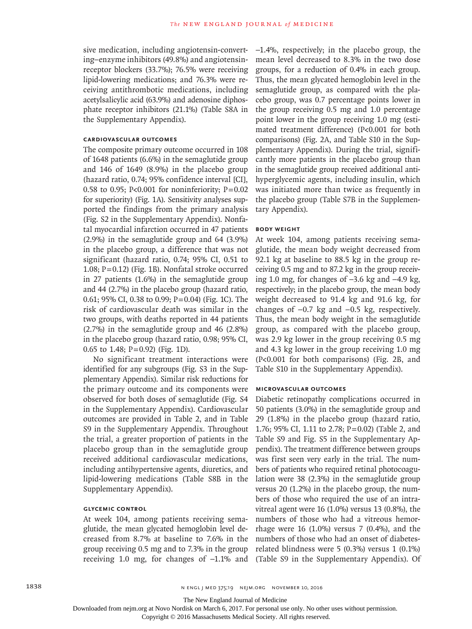sive medication, including angiotensin-converting–enzyme inhibitors (49.8%) and angiotensinreceptor blockers (33.7%); 76.5% were receiving lipid-lowering medications; and 76.3% were receiving antithrombotic medications, including acetylsalicylic acid (63.9%) and adenosine diphosphate receptor inhibitors (21.1%) (Table S8A in the Supplementary Appendix).

# **Cardiovascular Outcomes**

The composite primary outcome occurred in 108 of 1648 patients (6.6%) in the semaglutide group and 146 of 1649 (8.9%) in the placebo group (hazard ratio, 0.74; 95% confidence interval [CI], 0.58 to 0.95; P<0.001 for noninferiority;  $P=0.02$ for superiority) (Fig. 1A). Sensitivity analyses supported the findings from the primary analysis (Fig. S2 in the Supplementary Appendix). Nonfatal myocardial infarction occurred in 47 patients (2.9%) in the semaglutide group and 64 (3.9%) in the placebo group, a difference that was not significant (hazard ratio, 0.74; 95% CI, 0.51 to 1.08; P=0.12) (Fig. 1B). Nonfatal stroke occurred in 27 patients (1.6%) in the semaglutide group and 44 (2.7%) in the placebo group (hazard ratio, 0.61; 95% CI, 0.38 to 0.99; P=0.04) (Fig. 1C). The risk of cardiovascular death was similar in the two groups, with deaths reported in 44 patients (2.7%) in the semaglutide group and 46 (2.8%) in the placebo group (hazard ratio, 0.98; 95% CI, 0.65 to 1.48; P=0.92) (Fig. 1D).

No significant treatment interactions were identified for any subgroups (Fig. S3 in the Supplementary Appendix). Similar risk reductions for the primary outcome and its components were observed for both doses of semaglutide (Fig. S4 in the Supplementary Appendix). Cardiovascular outcomes are provided in Table 2, and in Table S9 in the Supplementary Appendix. Throughout the trial, a greater proportion of patients in the placebo group than in the semaglutide group received additional cardiovascular medications, including antihypertensive agents, diuretics, and lipid-lowering medications (Table S8B in the Supplementary Appendix).

# **Glycemic Control**

At week 104, among patients receiving semaglutide, the mean glycated hemoglobin level decreased from 8.7% at baseline to 7.6% in the group receiving 0.5 mg and to 7.3% in the group receiving 1.0 mg, for changes of −1.1% and −1.4%, respectively; in the placebo group, the mean level decreased to 8.3% in the two dose groups, for a reduction of 0.4% in each group. Thus, the mean glycated hemoglobin level in the semaglutide group, as compared with the placebo group, was 0.7 percentage points lower in the group receiving 0.5 mg and 1.0 percentage point lower in the group receiving 1.0 mg (estimated treatment difference) (P<0.001 for both comparisons) (Fig. 2A, and Table S10 in the Supplementary Appendix). During the trial, significantly more patients in the placebo group than in the semaglutide group received additional antihyperglycemic agents, including insulin, which was initiated more than twice as frequently in the placebo group (Table S7B in the Supplementary Appendix).

#### **Body Weight**

At week 104, among patients receiving semaglutide, the mean body weight decreased from 92.1 kg at baseline to 88.5 kg in the group receiving 0.5 mg and to 87.2 kg in the group receiving 1.0 mg, for changes of −3.6 kg and −4.9 kg, respectively; in the placebo group, the mean body weight decreased to 91.4 kg and 91.6 kg, for changes of −0.7 kg and −0.5 kg, respectively. Thus, the mean body weight in the semaglutide group, as compared with the placebo group, was 2.9 kg lower in the group receiving 0.5 mg and 4.3 kg lower in the group receiving 1.0 mg (P<0.001 for both comparisons) (Fig. 2B, and Table S10 in the Supplementary Appendix).

### **Microvascular Outcomes**

Diabetic retinopathy complications occurred in 50 patients (3.0%) in the semaglutide group and 29 (1.8%) in the placebo group (hazard ratio, 1.76; 95% CI, 1.11 to 2.78; P=0.02) (Table 2, and Table S9 and Fig. S5 in the Supplementary Appendix). The treatment difference between groups was first seen very early in the trial. The numbers of patients who required retinal photocoagulation were 38 (2.3%) in the semaglutide group versus 20 (1.2%) in the placebo group, the numbers of those who required the use of an intravitreal agent were 16 (1.0%) versus 13 (0.8%), the numbers of those who had a vitreous hemorrhage were 16 (1.0%) versus 7 (0.4%), and the numbers of those who had an onset of diabetesrelated blindness were 5 (0.3%) versus 1 (0.1%) (Table S9 in the Supplementary Appendix). Of

The New England Journal of Medicine

Downloaded from nejm.org at Novo Nordisk on March 6, 2017. For personal use only. No other uses without permission.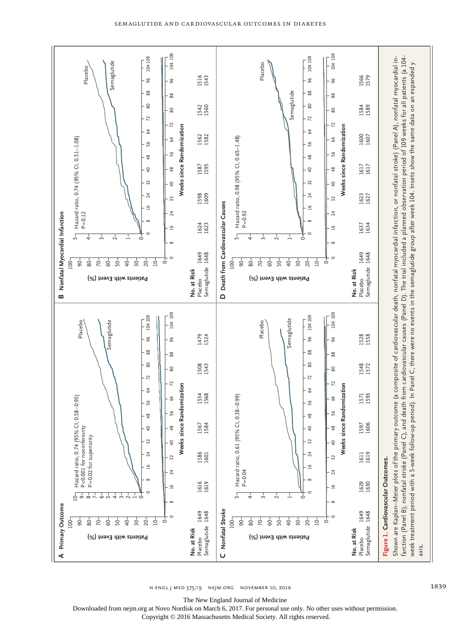



104

104109

**No. at Risk** No. at Risk<br>Placebo<br>Semaglutide Semaglutide

104

104109

**No. at Risk** Placebo Semaglutide

**D**

 $-001$ 90  $80 -$ 70-60 50  $40 30 20 10 -$ ढ

**Patients with Event (%)**

**B**

 $100 -90$  $-80$  $\frac{1}{2}$  $60 -$ 50  $\frac{1}{4}$  $30 20 10 \circ$ 

**Patients with Event (%)**

Downloaded from nejm.org at Novo Nordisk on March 6, 2017. For personal use only. No other uses without permission.

Copyright © 2016 Massachusetts Medical Society. All rights reserved.

axis.

The New England Journal of Medicine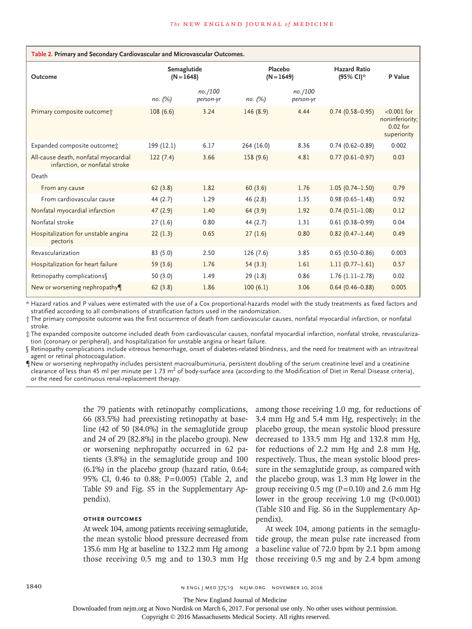| Table 2. Primary and Secondary Cardiovascular and Microvascular Outcomes. |                             |                      |                         |                      |                                  |                                                               |  |
|---------------------------------------------------------------------------|-----------------------------|----------------------|-------------------------|----------------------|----------------------------------|---------------------------------------------------------------|--|
| Outcome                                                                   | Semaglutide<br>$(N = 1648)$ |                      | Placebo<br>$(N = 1649)$ |                      | <b>Hazard Ratio</b><br>(95% CI)* | P Value                                                       |  |
|                                                                           | no. (%)                     | no./100<br>person-yr | no. (%)                 | no./100<br>person-yr |                                  |                                                               |  |
| Primary composite outcome;                                                | 108(6.6)                    | 3.24                 | 146(8.9)                | 4.44                 | $0.74(0.58 - 0.95)$              | $< 0.001$ for<br>noninferiority;<br>$0.02$ for<br>superiority |  |
| Expanded composite outcome:                                               | 199 (12.1)                  | 6.17                 | 264 (16.0)              | 8.36                 | $0.74(0.62 - 0.89)$              | 0.002                                                         |  |
| All-cause death, nonfatal myocardial<br>infarction, or nonfatal stroke    | 122(7.4)                    | 3.66                 | 158 (9.6)               | 4.81                 | $0.77(0.61 - 0.97)$              | 0.03                                                          |  |
| Death                                                                     |                             |                      |                         |                      |                                  |                                                               |  |
| From any cause                                                            | 62(3.8)                     | 1.82                 | 60(3.6)                 | 1.76                 | $1.05(0.74 - 1.50)$              | 0.79                                                          |  |
| From cardiovascular cause                                                 | 44 (2.7)                    | 1.29                 | 46 (2.8)                | 1.35                 | $0.98(0.65 - 1.48)$              | 0.92                                                          |  |
| Nonfatal myocardial infarction                                            | 47(2.9)                     | 1.40                 | 64(3.9)                 | 1.92                 | $0.74(0.51 - 1.08)$              | 0.12                                                          |  |
| Nonfatal stroke                                                           | 27(1.6)                     | 0.80                 | 44 (2.7)                | 1.31                 | $0.61(0.38 - 0.99)$              | 0.04                                                          |  |
| Hospitalization for unstable angina<br>pectoris                           | 22(1.3)                     | 0.65                 | 27(1.6)                 | 0.80                 | $0.82(0.47 - 1.44)$              | 0.49                                                          |  |
| Revascularization                                                         | 83(5.0)                     | 2.50                 | 126(7.6)                | 3.85                 | $0.65(0.50 - 0.86)$              | 0.003                                                         |  |
| Hospitalization for heart failure                                         | 59(3.6)                     | 1.76                 | 54(3.3)                 | 1.61                 | $1.11(0.77 - 1.61)$              | 0.57                                                          |  |
| Retinopathy complications                                                 | 50(3.0)                     | 1.49                 | 29(1.8)                 | 0.86                 | $1.76(1.11-2.78)$                | 0.02                                                          |  |
| New or worsening nephropathy                                              | 62(3.8)                     | 1.86                 | 100(6.1)                | 3.06                 | $0.64(0.46 - 0.88)$              | 0.005                                                         |  |

\* Hazard ratios and P values were estimated with the use of a Cox proportional-hazards model with the study treatments as fixed factors and stratified according to all combinations of stratification factors used in the randomization.

† The primary composite outcome was the first occurrence of death from cardiovascular causes, nonfatal myocardial infarction, or nonfatal stroke.

‡ The expanded composite outcome included death from cardiovascular causes, nonfatal myocardial infarction, nonfatal stroke, revascularization (coronary or peripheral), and hospitalization for unstable angina or heart failure.

§ Retinopathy complications include vitreous hemorrhage, onset of diabetes-related blindness, and the need for treatment with an intravitreal agent or retinal photocoagulation.

¶ New or worsening nephropathy includes persistent macroalbuminuria, persistent doubling of the serum creatinine level and a creatinine clearance of less than 45 ml per minute per 1.73  $m^2$  of body-surface area (according to the Modification of Diet in Renal Disease criteria), or the need for continuous renal-replacement therapy.

> the 79 patients with retinopathy complications, 66 (83.5%) had preexisting retinopathy at baseline (42 of 50 [84.0%] in the semaglutide group and 24 of 29 [82.8%] in the placebo group). New or worsening nephropathy occurred in 62 patients (3.8%) in the semaglutide group and 100 (6.1%) in the placebo group (hazard ratio, 0.64; 95% CI, 0.46 to 0.88; P=0.005) (Table 2, and Table S9 and Fig. S5 in the Supplementary Appendix).

# **Other Outcomes**

At week 104, among patients receiving semaglutide, the mean systolic blood pressure decreased from 135.6 mm Hg at baseline to 132.2 mm Hg among

among those receiving 1.0 mg, for reductions of 3.4 mm Hg and 5.4 mm Hg, respectively; in the placebo group, the mean systolic blood pressure decreased to 133.5 mm Hg and 132.8 mm Hg, for reductions of 2.2 mm Hg and 2.8 mm Hg, respectively. Thus, the mean systolic blood pressure in the semaglutide group, as compared with the placebo group, was 1.3 mm Hg lower in the group receiving 0.5 mg  $(P=0.10)$  and 2.6 mm Hg lower in the group receiving 1.0 mg (P<0.001) (Table S10 and Fig. S6 in the Supplementary Appendix).

those receiving 0.5 mg and to 130.3 mm Hg those receiving 0.5 mg and by 2.4 bpm among At week 104, among patients in the semaglutide group, the mean pulse rate increased from a baseline value of 72.0 bpm by 2.1 bpm among

1840 **n engl j med 375;19 NEMCO NOVEMBER 10, 2016** N ENGL J MED 375;19 NEJM.ORG NOVEMBER 10, 2016

The New England Journal of Medicine

Downloaded from nejm.org at Novo Nordisk on March 6, 2017. For personal use only. No other uses without permission.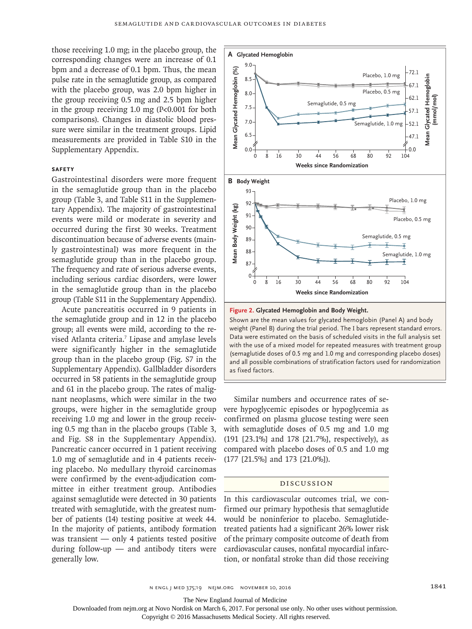those receiving 1.0 mg; in the placebo group, the corresponding changes were an increase of 0.1 bpm and a decrease of 0.1 bpm. Thus, the mean pulse rate in the semaglutide group, as compared with the placebo group, was 2.0 bpm higher in the group receiving 0.5 mg and 2.5 bpm higher in the group receiving 1.0 mg (P<0.001 for both comparisons). Changes in diastolic blood pressure were similar in the treatment groups. Lipid measurements are provided in Table S10 in the Supplementary Appendix.

#### **Safety**

Gastrointestinal disorders were more frequent in the semaglutide group than in the placebo group (Table 3, and Table S11 in the Supplementary Appendix). The majority of gastrointestinal events were mild or moderate in severity and occurred during the first 30 weeks. Treatment discontinuation because of adverse events (mainly gastrointestinal) was more frequent in the semaglutide group than in the placebo group. The frequency and rate of serious adverse events, including serious cardiac disorders, were lower in the semaglutide group than in the placebo group (Table S11 in the Supplementary Appendix).

Acute pancreatitis occurred in 9 patients in the semaglutide group and in 12 in the placebo group; all events were mild, according to the revised Atlanta criteria.7 Lipase and amylase levels were significantly higher in the semaglutide group than in the placebo group (Fig. S7 in the Supplementary Appendix). Gallbladder disorders occurred in 58 patients in the semaglutide group and 61 in the placebo group. The rates of malignant neoplasms, which were similar in the two groups, were higher in the semaglutide group receiving 1.0 mg and lower in the group receiving 0.5 mg than in the placebo groups (Table 3, and Fig. S8 in the Supplementary Appendix). Pancreatic cancer occurred in 1 patient receiving 1.0 mg of semaglutide and in 4 patients receiving placebo. No medullary thyroid carcinomas were confirmed by the event-adjudication committee in either treatment group. Antibodies against semaglutide were detected in 30 patients treated with semaglutide, with the greatest number of patients (14) testing positive at week 44. In the majority of patients, antibody formation was transient — only 4 patients tested positive during follow-up — and antibody titers were generally low.





Shown are the mean values for glycated hemoglobin (Panel A) and body weight (Panel B) during the trial period. The I bars represent standard errors. Data were estimated on the basis of scheduled visits in the full analysis set with the use of a mixed model for repeated measures with treatment group (semaglutide doses of 0.5 mg and 1.0 mg and corresponding placebo doses) and all possible combinations of stratification factors used for randomization as fixed factors.

Similar numbers and occurrence rates of severe hypoglycemic episodes or hypoglycemia as confirmed on plasma glucose testing were seen with semaglutide doses of 0.5 mg and 1.0 mg (191 [23.1%] and 178 [21.7%], respectively), as compared with placebo doses of 0.5 and 1.0 mg (177 [21.5%] and 173 [21.0%]).

## Discussion

In this cardiovascular outcomes trial, we confirmed our primary hypothesis that semaglutide would be noninferior to placebo. Semaglutidetreated patients had a significant 26% lower risk of the primary composite outcome of death from cardiovascular causes, nonfatal myocardial infarction, or nonfatal stroke than did those receiving

The New England Journal of Medicine

Downloaded from nejm.org at Novo Nordisk on March 6, 2017. For personal use only. No other uses without permission.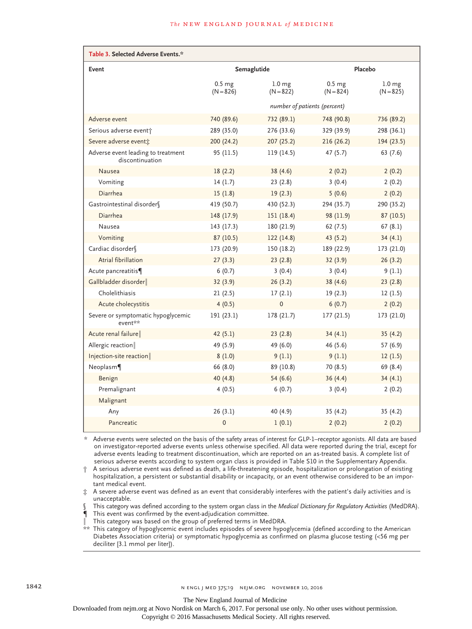#### **The NEW ENGLAND JOURNAL of MEDICINE**

| Table 3. Selected Adverse Events.*                    |                                  |                                  |                                  |                                  |  |  |
|-------------------------------------------------------|----------------------------------|----------------------------------|----------------------------------|----------------------------------|--|--|
| Event                                                 | Semaglutide                      |                                  | Placebo                          |                                  |  |  |
|                                                       | 0.5 <sub>mg</sub><br>$(N = 826)$ | 1.0 <sub>mg</sub><br>$(N = 822)$ | 0.5 <sub>mg</sub><br>$(N = 824)$ | 1.0 <sub>mg</sub><br>$(N = 825)$ |  |  |
|                                                       | number of patients (percent)     |                                  |                                  |                                  |  |  |
| Adverse event                                         | 740 (89.6)                       | 732 (89.1)                       | 748 (90.8)                       | 736 (89.2)                       |  |  |
| Serious adverse event <sup>+</sup>                    | 289 (35.0)                       | 276 (33.6)                       | 329 (39.9)                       | 298 (36.1)                       |  |  |
| Severe adverse eventi:                                | 200 (24.2)                       | 207(25.2)                        | 216(26.2)                        | 194 (23.5)                       |  |  |
| Adverse event leading to treatment<br>discontinuation | 95 (11.5)                        | 119(14.5)                        | 47 (5.7)                         | 63(7.6)                          |  |  |
| <b>Nausea</b>                                         | 18(2.2)                          | 38(4.6)                          | 2(0.2)                           | 2(0.2)                           |  |  |
| Vomiting                                              | 14(1.7)                          | 23(2.8)                          | 3(0.4)                           | 2(0.2)                           |  |  |
| Diarrhea                                              | 15(1.8)                          | 19(2.3)                          | 5(0.6)                           | 2(0.2)                           |  |  |
| Gastrointestinal disorder§                            | 419 (50.7)                       | 430 (52.3)                       | 294 (35.7)                       | 290 (35.2)                       |  |  |
| Diarrhea                                              | 148 (17.9)                       | 151(18.4)                        | 98 (11.9)                        | 87(10.5)                         |  |  |
| Nausea                                                | 143(17.3)                        | 180 (21.9)                       | 62(7.5)                          | 67(8.1)                          |  |  |
| Vomiting                                              | 87 (10.5)                        | 122(14.8)                        | 43(5.2)                          | 34(4.1)                          |  |  |
| Cardiac disorder <sup>[6</sup> ]                      | 173 (20.9)                       | 150 (18.2)                       | 189 (22.9)                       | 173 (21.0)                       |  |  |
| Atrial fibrillation                                   | 27(3.3)                          | 23(2.8)                          | 32(3.9)                          | 26(3.2)                          |  |  |
| Acute pancreatitis¶                                   | 6(0.7)                           | 3(0.4)                           | 3(0.4)                           | 9(1.1)                           |  |  |
| Gallbladder disorder                                  | 32(3.9)                          | 26(3.2)                          | 38 (4.6)                         | 23(2.8)                          |  |  |
| Cholelithiasis                                        | 21(2.5)                          | 17(2.1)                          | 19(2.3)                          | 12(1.5)                          |  |  |
| Acute cholecystitis                                   | 4(0.5)                           | 0                                | 6(0.7)                           | 2(0.2)                           |  |  |
| Severe or symptomatic hypoglycemic<br>event**         | 191 (23.1)                       | 178 (21.7)                       | 177 (21.5)                       | 173 (21.0)                       |  |  |
| Acute renal failure                                   | 42(5.1)                          | 23(2.8)                          | 34(4.1)                          | 35(4.2)                          |  |  |
| Allergic reaction                                     | 49 (5.9)                         | 49 (6.0)                         | 46 (5.6)                         | 57 (6.9)                         |  |  |
| Injection-site reaction                               | 8(1.0)                           | 9(1.1)                           | 9(1.1)                           | 12(1.5)                          |  |  |
| Neoplasm                                              | 66 (8.0)                         | 89 (10.8)                        | 70 (8.5)                         | 69 (8.4)                         |  |  |
| Benign                                                | 40(4.8)                          | 54(6.6)                          | 36(4.4)                          | 34(4.1)                          |  |  |
| Premalignant                                          | 4(0.5)                           | 6(0.7)                           | 3(0.4)                           | 2(0.2)                           |  |  |
| Malignant                                             |                                  |                                  |                                  |                                  |  |  |
| Any                                                   | 26(3.1)                          | 40 (4.9)                         | 35(4.2)                          | 35 (4.2)                         |  |  |
| Pancreatic                                            | $\mathbf 0$                      | 1(0.1)                           | 2(0.2)                           | 2(0.2)                           |  |  |

\* Adverse events were selected on the basis of the safety areas of interest for GLP-1–receptor agonists. All data are based on investigator-reported adverse events unless otherwise specified. All data were reported during the trial, except for adverse events leading to treatment discontinuation, which are reported on an as-treated basis. A complete list of serious adverse events according to system organ class is provided in Table S10 in the Supplementary Appendix.

† A serious adverse event was defined as death, a life-threatening episode, hospitalization or prolongation of existing hospitalization, a persistent or substantial disability or incapacity, or an event otherwise considered to be an important medical event.

 $\dot{x}$  A severe adverse event was defined as an event that considerably interferes with the patient's daily activities and is unacceptable.

§ This category was defined according to the system organ class in the *Medical Dictionary for Regulatory Activities* (MedDRA).

¶ This event was confirmed by the event-adjudication committee.

This category was based on the group of preferred terms in MedDRA.

\*\* This category of hypoglycemic event includes episodes of severe hypoglycemia (defined according to the American Diabetes Association criteria) or symptomatic hypoglycemia as confirmed on plasma glucose testing (<56 mg per deciliter [3.1 mmol per liter]).

Downloaded from nejm.org at Novo Nordisk on March 6, 2017. For personal use only. No other uses without permission.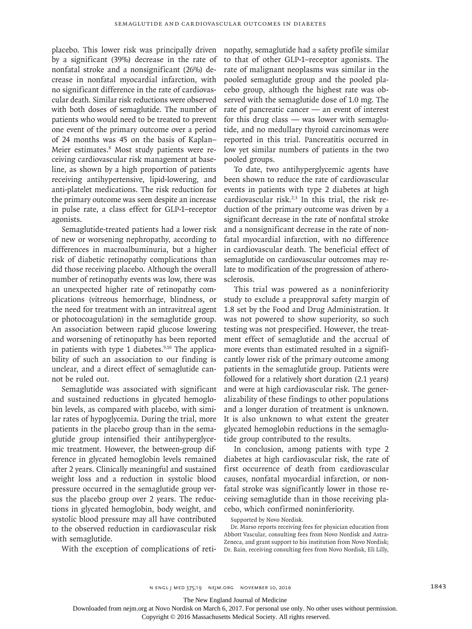placebo. This lower risk was principally driven by a significant (39%) decrease in the rate of nonfatal stroke and a nonsignificant (26%) decrease in nonfatal myocardial infarction, with no significant difference in the rate of cardiovascular death. Similar risk reductions were observed with both doses of semaglutide. The number of patients who would need to be treated to prevent one event of the primary outcome over a period of 24 months was 45 on the basis of Kaplan– Meier estimates.<sup>8</sup> Most study patients were receiving cardiovascular risk management at baseline, as shown by a high proportion of patients receiving antihypertensive, lipid-lowering, and anti-platelet medications. The risk reduction for the primary outcome was seen despite an increase in pulse rate, a class effect for GLP-1–receptor agonists.

Semaglutide-treated patients had a lower risk of new or worsening nephropathy, according to differences in macroalbuminuria, but a higher risk of diabetic retinopathy complications than did those receiving placebo. Although the overall number of retinopathy events was low, there was an unexpected higher rate of retinopathy complications (vitreous hemorrhage, blindness, or the need for treatment with an intravitreal agent or photocoagulation) in the semaglutide group. An association between rapid glucose lowering and worsening of retinopathy has been reported in patients with type 1 diabetes. $9,10$  The applicability of such an association to our finding is unclear, and a direct effect of semaglutide cannot be ruled out.

Semaglutide was associated with significant and sustained reductions in glycated hemoglobin levels, as compared with placebo, with similar rates of hypoglycemia. During the trial, more patients in the placebo group than in the semaglutide group intensified their antihyperglycemic treatment. However, the between-group difference in glycated hemoglobin levels remained after 2 years. Clinically meaningful and sustained weight loss and a reduction in systolic blood pressure occurred in the semaglutide group versus the placebo group over 2 years. The reductions in glycated hemoglobin, body weight, and systolic blood pressure may all have contributed to the observed reduction in cardiovascular risk with semaglutide.

With the exception of complications of reti-

nopathy, semaglutide had a safety profile similar to that of other GLP-1–receptor agonists. The rate of malignant neoplasms was similar in the pooled semaglutide group and the pooled placebo group, although the highest rate was observed with the semaglutide dose of 1.0 mg. The rate of pancreatic cancer — an event of interest for this drug class — was lower with semaglutide, and no medullary thyroid carcinomas were reported in this trial. Pancreatitis occurred in low yet similar numbers of patients in the two pooled groups.

To date, two antihyperglycemic agents have been shown to reduce the rate of cardiovascular events in patients with type 2 diabetes at high cardiovascular risk.<sup>2,3</sup> In this trial, the risk reduction of the primary outcome was driven by a significant decrease in the rate of nonfatal stroke and a nonsignificant decrease in the rate of nonfatal myocardial infarction, with no difference in cardiovascular death. The beneficial effect of semaglutide on cardiovascular outcomes may relate to modification of the progression of atherosclerosis.

This trial was powered as a noninferiority study to exclude a preapproval safety margin of 1.8 set by the Food and Drug Administration. It was not powered to show superiority, so such testing was not prespecified. However, the treatment effect of semaglutide and the accrual of more events than estimated resulted in a significantly lower risk of the primary outcome among patients in the semaglutide group. Patients were followed for a relatively short duration (2.1 years) and were at high cardiovascular risk. The generalizability of these findings to other populations and a longer duration of treatment is unknown. It is also unknown to what extent the greater glycated hemoglobin reductions in the semaglutide group contributed to the results.

In conclusion, among patients with type 2 diabetes at high cardiovascular risk, the rate of first occurrence of death from cardiovascular causes, nonfatal myocardial infarction, or nonfatal stroke was significantly lower in those receiving semaglutide than in those receiving placebo, which confirmed noninferiority.

Supported by Novo Nordisk.

Dr. Marso reports receiving fees for physician education from Abbott Vascular, consulting fees from Novo Nordisk and Astra-Zeneca, and grant support to his institution from Novo Nordisk; Dr. Bain, receiving consulting fees from Novo Nordisk, Eli Lilly,

n engl j med 375;19 nejm.org November 10, 2016 1843

The New England Journal of Medicine

Downloaded from nejm.org at Novo Nordisk on March 6, 2017. For personal use only. No other uses without permission.